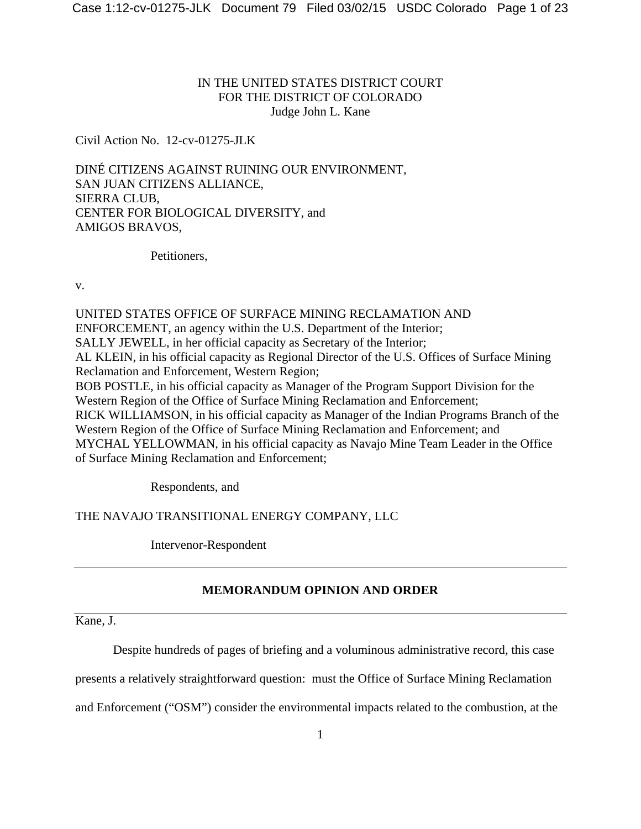# IN THE UNITED STATES DISTRICT COURT FOR THE DISTRICT OF COLORADO Judge John L. Kane

Civil Action No. 12-cv-01275-JLK

DINÉ CITIZENS AGAINST RUINING OUR ENVIRONMENT, SAN JUAN CITIZENS ALLIANCE, SIERRA CLUB, CENTER FOR BIOLOGICAL DIVERSITY, and AMIGOS BRAVOS,

Petitioners,

v.

UNITED STATES OFFICE OF SURFACE MINING RECLAMATION AND ENFORCEMENT, an agency within the U.S. Department of the Interior; SALLY JEWELL, in her official capacity as Secretary of the Interior; AL KLEIN, in his official capacity as Regional Director of the U.S. Offices of Surface Mining Reclamation and Enforcement, Western Region; BOB POSTLE, in his official capacity as Manager of the Program Support Division for the Western Region of the Office of Surface Mining Reclamation and Enforcement; RICK WILLIAMSON, in his official capacity as Manager of the Indian Programs Branch of the Western Region of the Office of Surface Mining Reclamation and Enforcement; and MYCHAL YELLOWMAN, in his official capacity as Navajo Mine Team Leader in the Office of Surface Mining Reclamation and Enforcement;

Respondents, and

THE NAVAJO TRANSITIONAL ENERGY COMPANY, LLC

Intervenor-Respondent

# **MEMORANDUM OPINION AND ORDER**

Kane, J.

Despite hundreds of pages of briefing and a voluminous administrative record, this case

presents a relatively straightforward question: must the Office of Surface Mining Reclamation

and Enforcement ("OSM") consider the environmental impacts related to the combustion, at the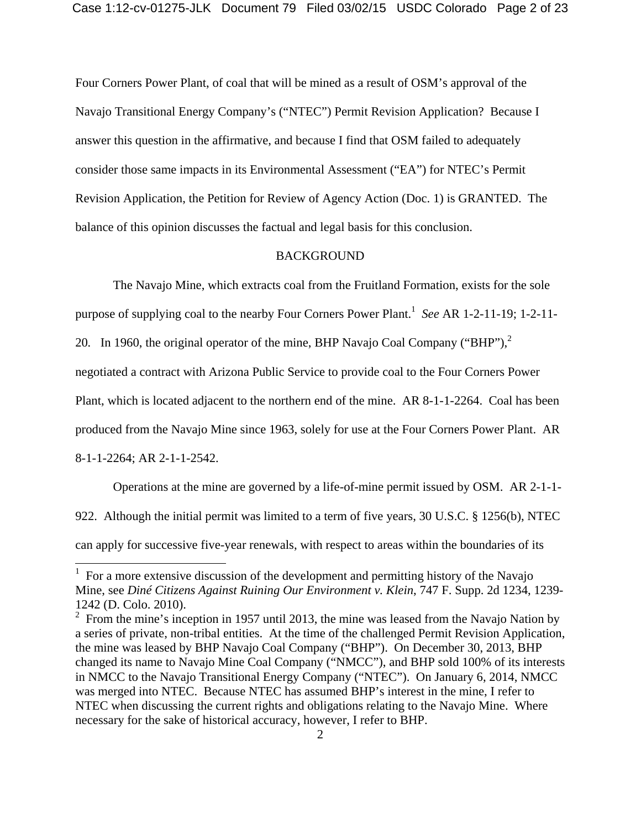Four Corners Power Plant, of coal that will be mined as a result of OSM's approval of the Navajo Transitional Energy Company's ("NTEC") Permit Revision Application? Because I answer this question in the affirmative, and because I find that OSM failed to adequately consider those same impacts in its Environmental Assessment ("EA") for NTEC's Permit Revision Application, the Petition for Review of Agency Action (Doc. 1) is GRANTED. The balance of this opinion discusses the factual and legal basis for this conclusion.

## BACKGROUND

The Navajo Mine, which extracts coal from the Fruitland Formation, exists for the sole

purpose of supplying coal to the nearby Four Corners Power Plant.<sup>1</sup> See AR 1-2-11-19; 1-2-11-

20. In 1960, the original operator of the mine, BHP Navajo Coal Company ("BHP"),<sup>2</sup>

negotiated a contract with Arizona Public Service to provide coal to the Four Corners Power

Plant, which is located adjacent to the northern end of the mine. AR 8-1-1-2264. Coal has been

produced from the Navajo Mine since 1963, solely for use at the Four Corners Power Plant. AR

8-1-1-2264; AR 2-1-1-2542.

 $\overline{a}$ 

 Operations at the mine are governed by a life-of-mine permit issued by OSM. AR 2-1-1- 922. Although the initial permit was limited to a term of five years, 30 U.S.C. § 1256(b), NTEC can apply for successive five-year renewals, with respect to areas within the boundaries of its

<sup>1</sup> For a more extensive discussion of the development and permitting history of the Navajo Mine, see *Diné Citizens Against Ruining Our Environment v. Klein*, 747 F. Supp. 2d 1234, 1239- 1242 (D. Colo. 2010).

<sup>&</sup>lt;sup>2</sup> From the mine's inception in 1957 until 2013, the mine was leased from the Navajo Nation by a series of private, non-tribal entities. At the time of the challenged Permit Revision Application, the mine was leased by BHP Navajo Coal Company ("BHP"). On December 30, 2013, BHP changed its name to Navajo Mine Coal Company ("NMCC"), and BHP sold 100% of its interests in NMCC to the Navajo Transitional Energy Company ("NTEC"). On January 6, 2014, NMCC was merged into NTEC. Because NTEC has assumed BHP's interest in the mine, I refer to NTEC when discussing the current rights and obligations relating to the Navajo Mine. Where necessary for the sake of historical accuracy, however, I refer to BHP.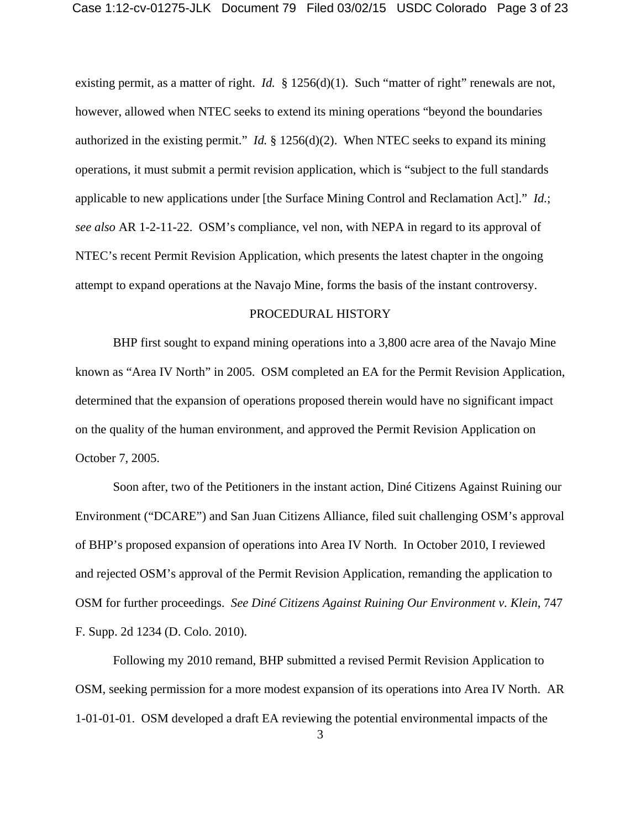existing permit, as a matter of right. *Id.* § 1256(d)(1). Such "matter of right" renewals are not, however, allowed when NTEC seeks to extend its mining operations "beyond the boundaries authorized in the existing permit." *Id.* § 1256(d)(2). When NTEC seeks to expand its mining operations, it must submit a permit revision application, which is "subject to the full standards applicable to new applications under [the Surface Mining Control and Reclamation Act]." *Id.*; *see also* AR 1-2-11-22. OSM's compliance, vel non, with NEPA in regard to its approval of NTEC's recent Permit Revision Application, which presents the latest chapter in the ongoing attempt to expand operations at the Navajo Mine, forms the basis of the instant controversy.

#### PROCEDURAL HISTORY

BHP first sought to expand mining operations into a 3,800 acre area of the Navajo Mine known as "Area IV North" in 2005. OSM completed an EA for the Permit Revision Application, determined that the expansion of operations proposed therein would have no significant impact on the quality of the human environment, and approved the Permit Revision Application on October 7, 2005.

 Soon after, two of the Petitioners in the instant action, Diné Citizens Against Ruining our Environment ("DCARE") and San Juan Citizens Alliance, filed suit challenging OSM's approval of BHP's proposed expansion of operations into Area IV North. In October 2010, I reviewed and rejected OSM's approval of the Permit Revision Application, remanding the application to OSM for further proceedings. *See Diné Citizens Against Ruining Our Environment v. Klein*, 747 F. Supp. 2d 1234 (D. Colo. 2010).

 Following my 2010 remand, BHP submitted a revised Permit Revision Application to OSM, seeking permission for a more modest expansion of its operations into Area IV North. AR 1-01-01-01. OSM developed a draft EA reviewing the potential environmental impacts of the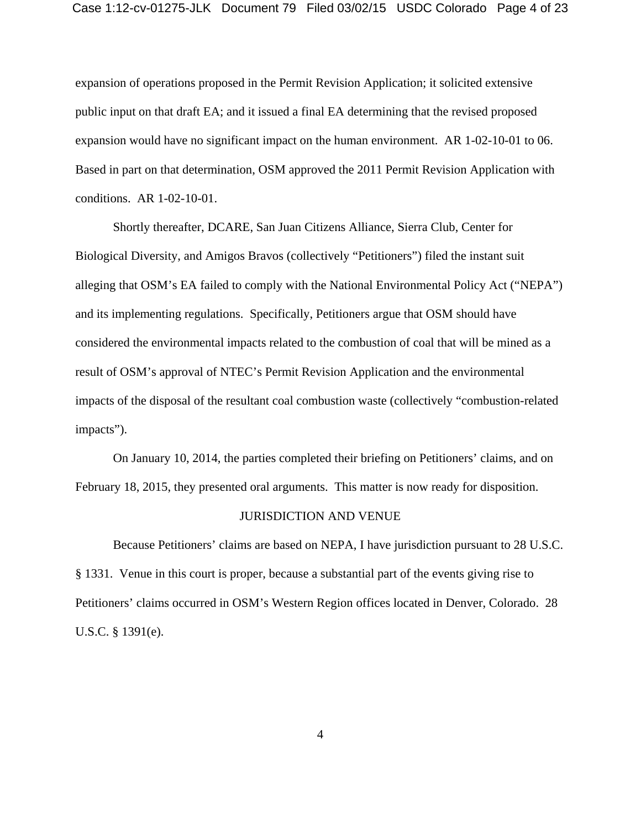expansion of operations proposed in the Permit Revision Application; it solicited extensive public input on that draft EA; and it issued a final EA determining that the revised proposed expansion would have no significant impact on the human environment. AR 1-02-10-01 to 06. Based in part on that determination, OSM approved the 2011 Permit Revision Application with conditions. AR 1-02-10-01.

 Shortly thereafter, DCARE, San Juan Citizens Alliance, Sierra Club, Center for Biological Diversity, and Amigos Bravos (collectively "Petitioners") filed the instant suit alleging that OSM's EA failed to comply with the National Environmental Policy Act ("NEPA") and its implementing regulations. Specifically, Petitioners argue that OSM should have considered the environmental impacts related to the combustion of coal that will be mined as a result of OSM's approval of NTEC's Permit Revision Application and the environmental impacts of the disposal of the resultant coal combustion waste (collectively "combustion-related impacts").

 On January 10, 2014, the parties completed their briefing on Petitioners' claims, and on February 18, 2015, they presented oral arguments. This matter is now ready for disposition.

#### JURISDICTION AND VENUE

Because Petitioners' claims are based on NEPA, I have jurisdiction pursuant to 28 U.S.C. § 1331. Venue in this court is proper, because a substantial part of the events giving rise to Petitioners' claims occurred in OSM's Western Region offices located in Denver, Colorado. 28 U.S.C. § 1391(e).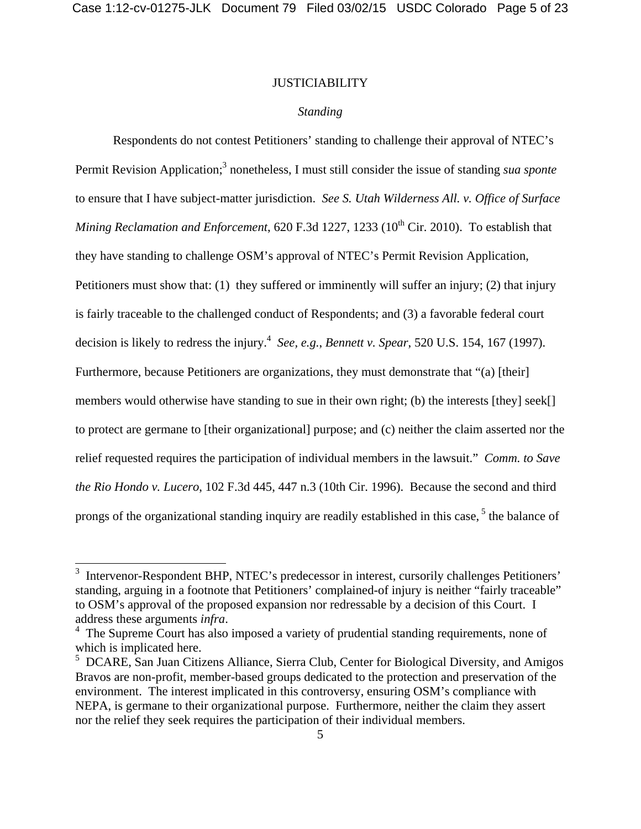## JUSTICIABILITY

## *Standing*

Respondents do not contest Petitioners' standing to challenge their approval of NTEC's Permit Revision Application;<sup>3</sup> nonetheless, I must still consider the issue of standing *sua sponte* to ensure that I have subject-matter jurisdiction. *See S. Utah Wilderness All. v. Office of Surface Mining Reclamation and Enforcement*, 620 F.3d 1227, 1233 (10<sup>th</sup> Cir. 2010). To establish that they have standing to challenge OSM's approval of NTEC's Permit Revision Application, Petitioners must show that: (1) they suffered or imminently will suffer an injury; (2) that injury is fairly traceable to the challenged conduct of Respondents; and (3) a favorable federal court decision is likely to redress the injury.<sup>4</sup> See, e.g., Bennett v. Spear, 520 U.S. 154, 167 (1997). Furthermore, because Petitioners are organizations, they must demonstrate that "(a) [their] members would otherwise have standing to sue in their own right; (b) the interests [they] seek[] to protect are germane to [their organizational] purpose; and (c) neither the claim asserted nor the relief requested requires the participation of individual members in the lawsuit." *Comm. to Save the Rio Hondo v. Lucero*, 102 F.3d 445, 447 n.3 (10th Cir. 1996). Because the second and third prongs of the organizational standing inquiry are readily established in this case,<sup>5</sup> the balance of

<sup>&</sup>lt;sup>3</sup> Intervenor-Respondent BHP, NTEC's predecessor in interest, cursorily challenges Petitioners' standing, arguing in a footnote that Petitioners' complained-of injury is neither "fairly traceable" to OSM's approval of the proposed expansion nor redressable by a decision of this Court. I address these arguments *infra*. 4

<sup>&</sup>lt;sup>4</sup> The Supreme Court has also imposed a variety of prudential standing requirements, none of which is implicated here.

<sup>&</sup>lt;sup>5</sup> DCARE, San Juan Citizens Alliance, Sierra Club, Center for Biological Diversity, and Amigos Bravos are non-profit, member-based groups dedicated to the protection and preservation of the environment. The interest implicated in this controversy, ensuring OSM's compliance with NEPA, is germane to their organizational purpose. Furthermore, neither the claim they assert nor the relief they seek requires the participation of their individual members.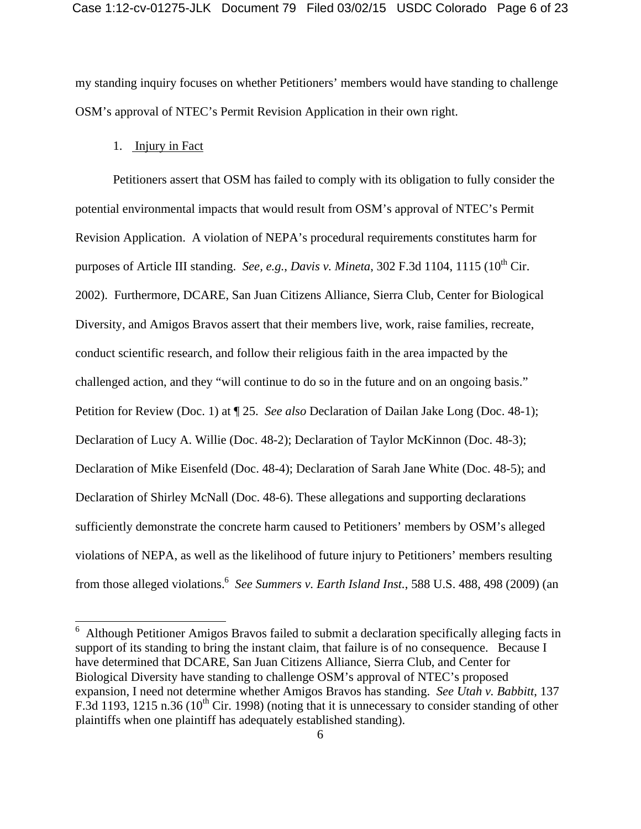my standing inquiry focuses on whether Petitioners' members would have standing to challenge OSM's approval of NTEC's Permit Revision Application in their own right.

## 1. Injury in Fact

 $\overline{a}$ 

Petitioners assert that OSM has failed to comply with its obligation to fully consider the potential environmental impacts that would result from OSM's approval of NTEC's Permit Revision Application. A violation of NEPA's procedural requirements constitutes harm for purposes of Article III standing. *See, e.g., Davis v. Mineta*, 302 F.3d 1104, 1115 (10<sup>th</sup> Cir. 2002). Furthermore, DCARE, San Juan Citizens Alliance, Sierra Club, Center for Biological Diversity, and Amigos Bravos assert that their members live, work, raise families, recreate, conduct scientific research, and follow their religious faith in the area impacted by the challenged action, and they "will continue to do so in the future and on an ongoing basis." Petition for Review (Doc. 1) at ¶ 25. *See also* Declaration of Dailan Jake Long (Doc. 48-1); Declaration of Lucy A. Willie (Doc. 48-2); Declaration of Taylor McKinnon (Doc. 48-3); Declaration of Mike Eisenfeld (Doc. 48-4); Declaration of Sarah Jane White (Doc. 48-5); and Declaration of Shirley McNall (Doc. 48-6). These allegations and supporting declarations sufficiently demonstrate the concrete harm caused to Petitioners' members by OSM's alleged violations of NEPA, as well as the likelihood of future injury to Petitioners' members resulting from those alleged violations.<sup>6</sup> See Summers v. Earth Island Inst., 588 U.S. 488, 498 (2009) (an

<sup>&</sup>lt;sup>6</sup> Although Petitioner Amigos Bravos failed to submit a declaration specifically alleging facts in support of its standing to bring the instant claim, that failure is of no consequence. Because I have determined that DCARE, San Juan Citizens Alliance, Sierra Club, and Center for Biological Diversity have standing to challenge OSM's approval of NTEC's proposed expansion, I need not determine whether Amigos Bravos has standing. *See Utah v. Babbitt*, 137 F.3d 1193, 1215 n.36 (10<sup>th</sup> Cir. 1998) (noting that it is unnecessary to consider standing of other plaintiffs when one plaintiff has adequately established standing).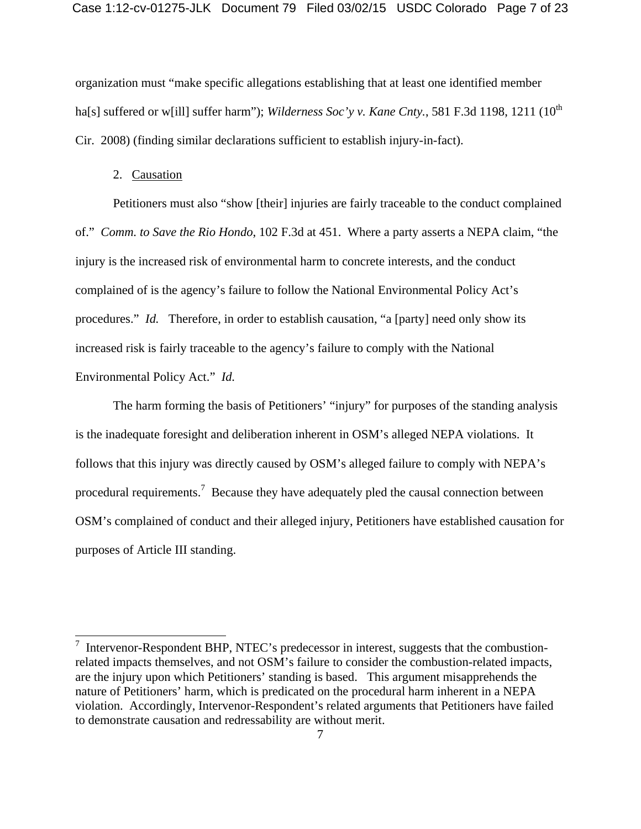organization must "make specific allegations establishing that at least one identified member ha[s] suffered or w[ill] suffer harm"); *Wilderness Soc'y v. Kane Cnty.*, 581 F.3d 1198, 1211 (10<sup>th</sup> Cir. 2008) (finding similar declarations sufficient to establish injury-in-fact).

# 2. Causation

 Petitioners must also "show [their] injuries are fairly traceable to the conduct complained of." *Comm. to Save the Rio Hondo*, 102 F.3d at 451. Where a party asserts a NEPA claim, "the injury is the increased risk of environmental harm to concrete interests, and the conduct complained of is the agency's failure to follow the National Environmental Policy Act's procedures." *Id.* Therefore, in order to establish causation, "a [party] need only show its increased risk is fairly traceable to the agency's failure to comply with the National Environmental Policy Act." *Id.*

 The harm forming the basis of Petitioners' "injury" for purposes of the standing analysis is the inadequate foresight and deliberation inherent in OSM's alleged NEPA violations. It follows that this injury was directly caused by OSM's alleged failure to comply with NEPA's procedural requirements.<sup>7</sup> Because they have adequately pled the causal connection between OSM's complained of conduct and their alleged injury, Petitioners have established causation for purposes of Article III standing.

<sup>&</sup>lt;sup>7</sup> Intervenor-Respondent BHP, NTEC's predecessor in interest, suggests that the combustionrelated impacts themselves, and not OSM's failure to consider the combustion-related impacts, are the injury upon which Petitioners' standing is based. This argument misapprehends the nature of Petitioners' harm, which is predicated on the procedural harm inherent in a NEPA violation. Accordingly, Intervenor-Respondent's related arguments that Petitioners have failed to demonstrate causation and redressability are without merit.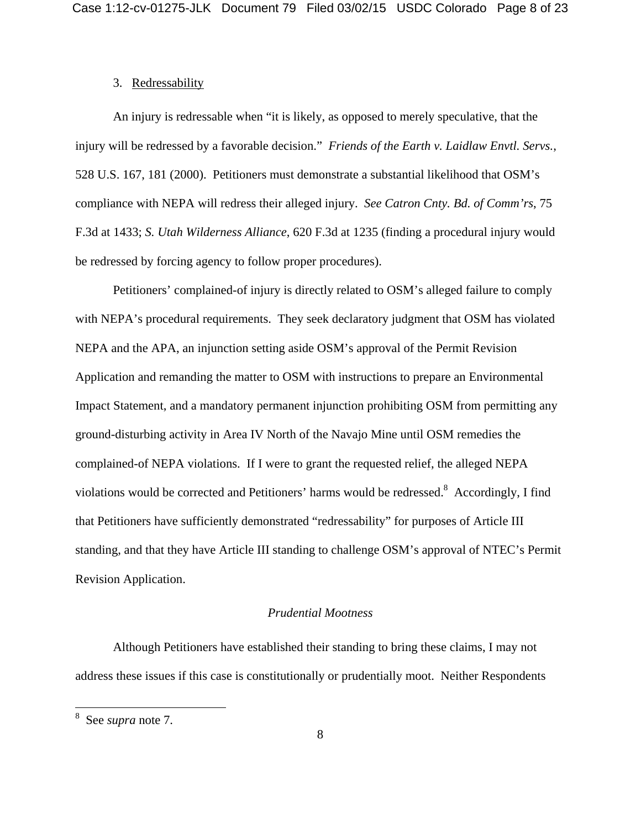## 3. Redressability

An injury is redressable when "it is likely, as opposed to merely speculative, that the injury will be redressed by a favorable decision." *Friends of the Earth v. Laidlaw Envtl. Servs.*, 528 U.S. 167, 181 (2000). Petitioners must demonstrate a substantial likelihood that OSM's compliance with NEPA will redress their alleged injury. *See Catron Cnty. Bd. of Comm'rs*, 75 F.3d at 1433; *S. Utah Wilderness Alliance*, 620 F.3d at 1235 (finding a procedural injury would be redressed by forcing agency to follow proper procedures).

Petitioners' complained-of injury is directly related to OSM's alleged failure to comply with NEPA's procedural requirements. They seek declaratory judgment that OSM has violated NEPA and the APA, an injunction setting aside OSM's approval of the Permit Revision Application and remanding the matter to OSM with instructions to prepare an Environmental Impact Statement, and a mandatory permanent injunction prohibiting OSM from permitting any ground-disturbing activity in Area IV North of the Navajo Mine until OSM remedies the complained-of NEPA violations. If I were to grant the requested relief, the alleged NEPA violations would be corrected and Petitioners' harms would be redressed. $8$  Accordingly, I find that Petitioners have sufficiently demonstrated "redressability" for purposes of Article III standing, and that they have Article III standing to challenge OSM's approval of NTEC's Permit Revision Application.

## *Prudential Mootness*

 Although Petitioners have established their standing to bring these claims, I may not address these issues if this case is constitutionally or prudentially moot. Neither Respondents

<sup>8</sup> See *supra* note 7.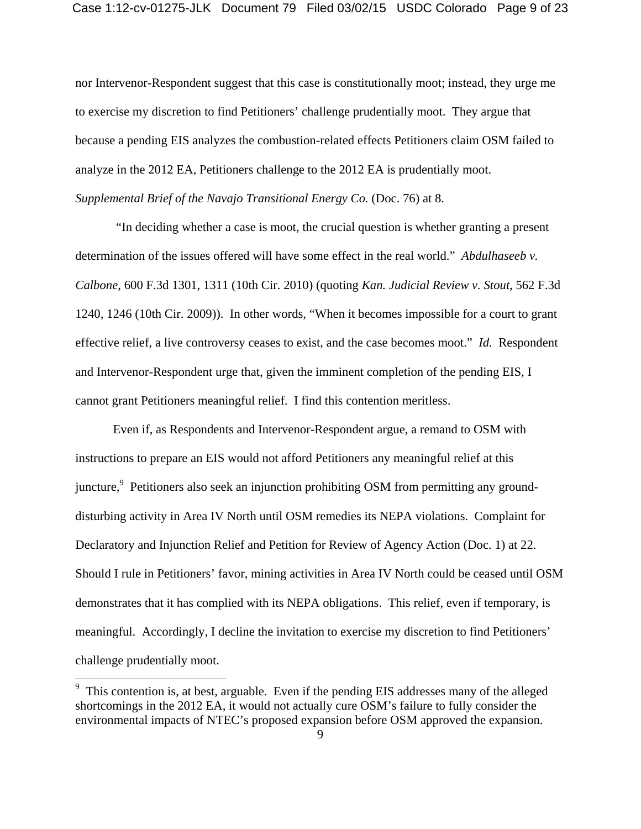nor Intervenor-Respondent suggest that this case is constitutionally moot; instead, they urge me to exercise my discretion to find Petitioners' challenge prudentially moot. They argue that because a pending EIS analyzes the combustion-related effects Petitioners claim OSM failed to analyze in the 2012 EA, Petitioners challenge to the 2012 EA is prudentially moot. *Supplemental Brief of the Navajo Transitional Energy Co.* (Doc. 76) at 8.

 "In deciding whether a case is moot, the crucial question is whether granting a present determination of the issues offered will have some effect in the real world." *Abdulhaseeb v. Calbone*, 600 F.3d 1301, 1311 (10th Cir. 2010) (quoting *Kan. Judicial Review v. Stout*, 562 F.3d 1240, 1246 (10th Cir. 2009)). In other words, "When it becomes impossible for a court to grant effective relief, a live controversy ceases to exist, and the case becomes moot." *Id.* Respondent and Intervenor-Respondent urge that, given the imminent completion of the pending EIS, I cannot grant Petitioners meaningful relief. I find this contention meritless.

Even if, as Respondents and Intervenor-Respondent argue, a remand to OSM with instructions to prepare an EIS would not afford Petitioners any meaningful relief at this juncture,  $9$  Petitioners also seek an injunction prohibiting OSM from permitting any grounddisturbing activity in Area IV North until OSM remedies its NEPA violations. Complaint for Declaratory and Injunction Relief and Petition for Review of Agency Action (Doc. 1) at 22. Should I rule in Petitioners' favor, mining activities in Area IV North could be ceased until OSM demonstrates that it has complied with its NEPA obligations. This relief, even if temporary, is meaningful. Accordingly, I decline the invitation to exercise my discretion to find Petitioners' challenge prudentially moot.

 $9\text{ This contention is, at best, arguable. Even if the pending EIS addresses many of the alleged.}$ shortcomings in the 2012 EA, it would not actually cure OSM's failure to fully consider the environmental impacts of NTEC's proposed expansion before OSM approved the expansion.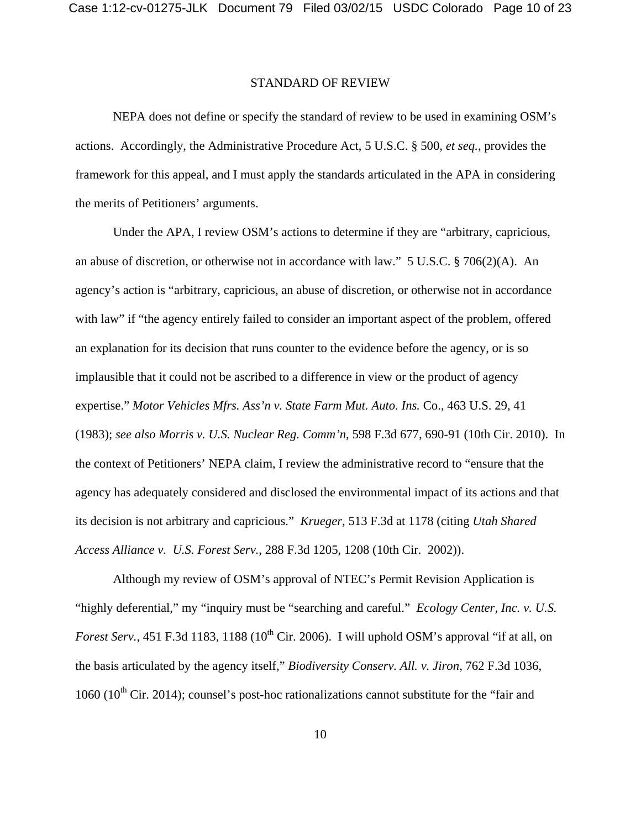#### STANDARD OF REVIEW

NEPA does not define or specify the standard of review to be used in examining OSM's actions. Accordingly, the Administrative Procedure Act, 5 U.S.C. § 500, *et seq.*, provides the framework for this appeal, and I must apply the standards articulated in the APA in considering the merits of Petitioners' arguments.

Under the APA, I review OSM's actions to determine if they are "arbitrary, capricious, an abuse of discretion, or otherwise not in accordance with law." 5 U.S.C. § 706(2)(A). An agency's action is "arbitrary, capricious, an abuse of discretion, or otherwise not in accordance with law" if "the agency entirely failed to consider an important aspect of the problem, offered an explanation for its decision that runs counter to the evidence before the agency, or is so implausible that it could not be ascribed to a difference in view or the product of agency expertise." *Motor Vehicles Mfrs. Ass'n v. State Farm Mut. Auto. Ins.* Co., 463 U.S. 29, 41 (1983); *see also Morris v. U.S. Nuclear Reg. Comm'n*, 598 F.3d 677, 690-91 (10th Cir. 2010). In the context of Petitioners' NEPA claim, I review the administrative record to "ensure that the agency has adequately considered and disclosed the environmental impact of its actions and that its decision is not arbitrary and capricious." *Krueger*, 513 F.3d at 1178 (citing *Utah Shared Access Alliance v. U.S. Forest Serv.*, 288 F.3d 1205, 1208 (10th Cir. 2002)).

Although my review of OSM's approval of NTEC's Permit Revision Application is "highly deferential," my "inquiry must be "searching and careful." *Ecology Center, Inc. v. U.S. Forest Serv.*, 451 F.3d 1183, 1188 (10<sup>th</sup> Cir. 2006). I will uphold OSM's approval "if at all, on the basis articulated by the agency itself," *Biodiversity Conserv. All. v. Jiron*, 762 F.3d 1036, 1060 ( $10^{th}$  Cir. 2014); counsel's post-hoc rationalizations cannot substitute for the "fair and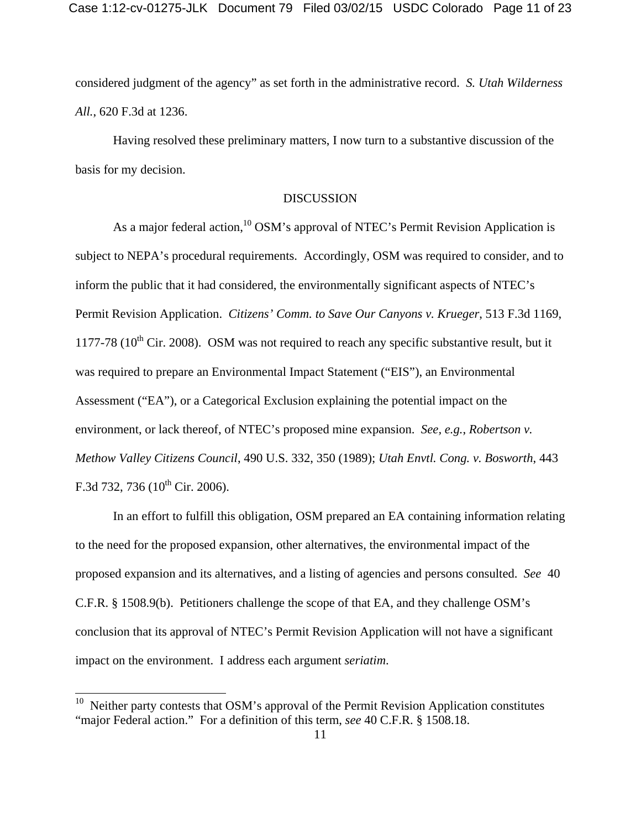considered judgment of the agency" as set forth in the administrative record. *S. Utah Wilderness All.*, 620 F.3d at 1236.

Having resolved these preliminary matters, I now turn to a substantive discussion of the basis for my decision.

## DISCUSSION

As a major federal action,<sup>10</sup> OSM's approval of NTEC's Permit Revision Application is subject to NEPA's procedural requirements. Accordingly, OSM was required to consider, and to inform the public that it had considered, the environmentally significant aspects of NTEC's Permit Revision Application. *Citizens' Comm. to Save Our Canyons v. Krueger*, 513 F.3d 1169, 1177-78 ( $10^{th}$  Cir. 2008). OSM was not required to reach any specific substantive result, but it was required to prepare an Environmental Impact Statement ("EIS"), an Environmental Assessment ("EA"), or a Categorical Exclusion explaining the potential impact on the environment, or lack thereof, of NTEC's proposed mine expansion. *See, e.g.*, *Robertson v. Methow Valley Citizens Council*, 490 U.S. 332, 350 (1989); *Utah Envtl. Cong. v. Bosworth*, 443 F.3d 732, 736 ( $10^{th}$  Cir. 2006).

In an effort to fulfill this obligation, OSM prepared an EA containing information relating to the need for the proposed expansion, other alternatives, the environmental impact of the proposed expansion and its alternatives, and a listing of agencies and persons consulted. *See* 40 C.F.R. § 1508.9(b). Petitioners challenge the scope of that EA, and they challenge OSM's conclusion that its approval of NTEC's Permit Revision Application will not have a significant impact on the environment. I address each argument *seriatim*.

 $10$  Neither party contests that OSM's approval of the Permit Revision Application constitutes "major Federal action." For a definition of this term, *see* 40 C.F.R. § 1508.18.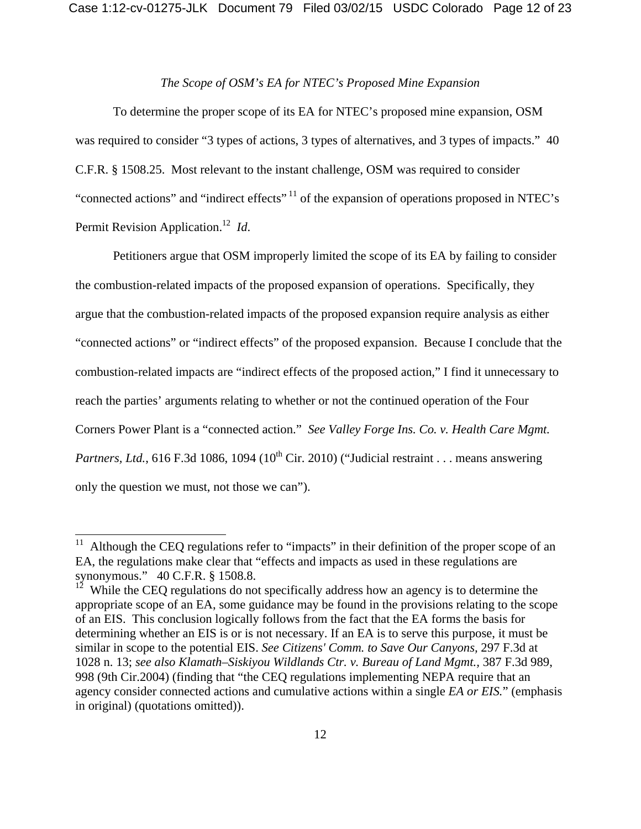## *The Scope of OSM's EA for NTEC's Proposed Mine Expansion*

To determine the proper scope of its EA for NTEC's proposed mine expansion, OSM was required to consider "3 types of actions, 3 types of alternatives, and 3 types of impacts." 40 C.F.R. § 1508.25. Most relevant to the instant challenge, OSM was required to consider "connected actions" and "indirect effects" 11 of the expansion of operations proposed in NTEC's Permit Revision Application.12 *Id*.

Petitioners argue that OSM improperly limited the scope of its EA by failing to consider the combustion-related impacts of the proposed expansion of operations. Specifically, they argue that the combustion-related impacts of the proposed expansion require analysis as either "connected actions" or "indirect effects" of the proposed expansion. Because I conclude that the combustion-related impacts are "indirect effects of the proposed action," I find it unnecessary to reach the parties' arguments relating to whether or not the continued operation of the Four Corners Power Plant is a "connected action." *See Valley Forge Ins. Co. v. Health Care Mgmt. Partners, Ltd.*, 616 F.3d 1086, 1094 (10<sup>th</sup> Cir. 2010) ("Judicial restraint . . . means answering only the question we must, not those we can").

Although the CEQ regulations refer to "impacts" in their definition of the proper scope of an EA, the regulations make clear that "effects and impacts as used in these regulations are synonymous." 40 C.F.R. § 1508.8.

<sup>&</sup>lt;sup>12</sup> While the CEQ regulations do not specifically address how an agency is to determine the appropriate scope of an EA, some guidance may be found in the provisions relating to the scope of an EIS. This conclusion logically follows from the fact that the EA forms the basis for determining whether an EIS is or is not necessary. If an EA is to serve this purpose, it must be similar in scope to the potential EIS. *See Citizens' Comm. to Save Our Canyons,* 297 F.3d at 1028 n. 13; *see also Klamath–Siskiyou Wildlands Ctr. v. Bureau of Land Mgmt.,* 387 F.3d 989, 998 (9th Cir.2004) (finding that "the CEQ regulations implementing NEPA require that an agency consider connected actions and cumulative actions within a single *EA or EIS.*" (emphasis in original) (quotations omitted)).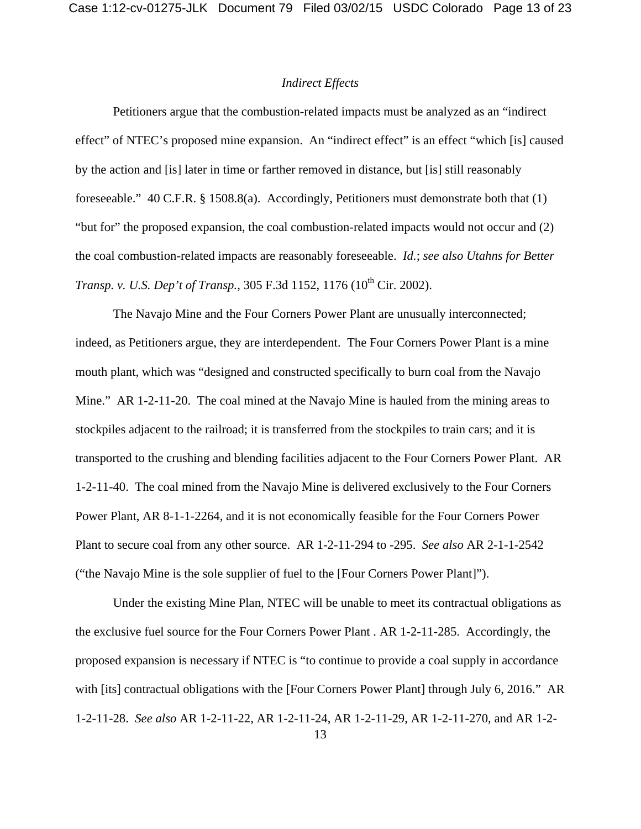## *Indirect Effects*

Petitioners argue that the combustion-related impacts must be analyzed as an "indirect effect" of NTEC's proposed mine expansion. An "indirect effect" is an effect "which [is] caused by the action and [is] later in time or farther removed in distance, but [is] still reasonably foreseeable." 40 C.F.R. § 1508.8(a). Accordingly, Petitioners must demonstrate both that (1) "but for" the proposed expansion, the coal combustion-related impacts would not occur and (2) the coal combustion-related impacts are reasonably foreseeable. *Id.*; *see also Utahns for Better Transp. v. U.S. Dep't of Transp.*, 305 F.3d 1152, 1176 (10<sup>th</sup> Cir. 2002).

The Navajo Mine and the Four Corners Power Plant are unusually interconnected; indeed, as Petitioners argue, they are interdependent. The Four Corners Power Plant is a mine mouth plant, which was "designed and constructed specifically to burn coal from the Navajo Mine." AR 1-2-11-20. The coal mined at the Navajo Mine is hauled from the mining areas to stockpiles adjacent to the railroad; it is transferred from the stockpiles to train cars; and it is transported to the crushing and blending facilities adjacent to the Four Corners Power Plant. AR 1-2-11-40. The coal mined from the Navajo Mine is delivered exclusively to the Four Corners Power Plant, AR 8-1-1-2264, and it is not economically feasible for the Four Corners Power Plant to secure coal from any other source. AR 1-2-11-294 to -295. *See also* AR 2-1-1-2542 ("the Navajo Mine is the sole supplier of fuel to the [Four Corners Power Plant]").

Under the existing Mine Plan, NTEC will be unable to meet its contractual obligations as the exclusive fuel source for the Four Corners Power Plant . AR 1-2-11-285. Accordingly, the proposed expansion is necessary if NTEC is "to continue to provide a coal supply in accordance with [its] contractual obligations with the [Four Corners Power Plant] through July 6, 2016." AR 1-2-11-28. *See also* AR 1-2-11-22, AR 1-2-11-24, AR 1-2-11-29, AR 1-2-11-270, and AR 1-2-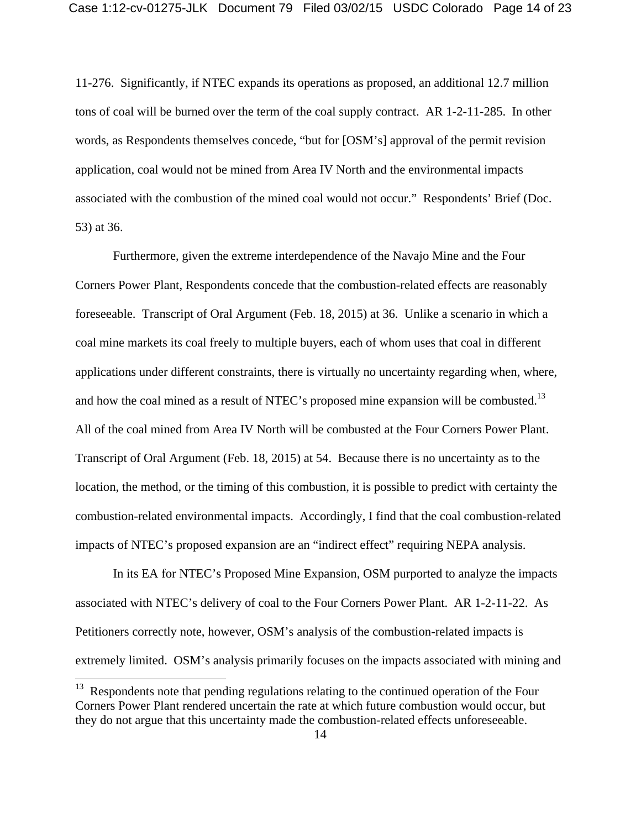11-276. Significantly, if NTEC expands its operations as proposed, an additional 12.7 million tons of coal will be burned over the term of the coal supply contract. AR 1-2-11-285. In other words, as Respondents themselves concede, "but for [OSM's] approval of the permit revision application, coal would not be mined from Area IV North and the environmental impacts associated with the combustion of the mined coal would not occur." Respondents' Brief (Doc. 53) at 36.

Furthermore, given the extreme interdependence of the Navajo Mine and the Four Corners Power Plant, Respondents concede that the combustion-related effects are reasonably foreseeable. Transcript of Oral Argument (Feb. 18, 2015) at 36. Unlike a scenario in which a coal mine markets its coal freely to multiple buyers, each of whom uses that coal in different applications under different constraints, there is virtually no uncertainty regarding when, where, and how the coal mined as a result of NTEC's proposed mine expansion will be combusted.<sup>13</sup> All of the coal mined from Area IV North will be combusted at the Four Corners Power Plant. Transcript of Oral Argument (Feb. 18, 2015) at 54. Because there is no uncertainty as to the location, the method, or the timing of this combustion, it is possible to predict with certainty the combustion-related environmental impacts. Accordingly, I find that the coal combustion-related impacts of NTEC's proposed expansion are an "indirect effect" requiring NEPA analysis.

In its EA for NTEC's Proposed Mine Expansion, OSM purported to analyze the impacts associated with NTEC's delivery of coal to the Four Corners Power Plant. AR 1-2-11-22. As Petitioners correctly note, however, OSM's analysis of the combustion-related impacts is extremely limited. OSM's analysis primarily focuses on the impacts associated with mining and

 $13$  Respondents note that pending regulations relating to the continued operation of the Four Corners Power Plant rendered uncertain the rate at which future combustion would occur, but they do not argue that this uncertainty made the combustion-related effects unforeseeable.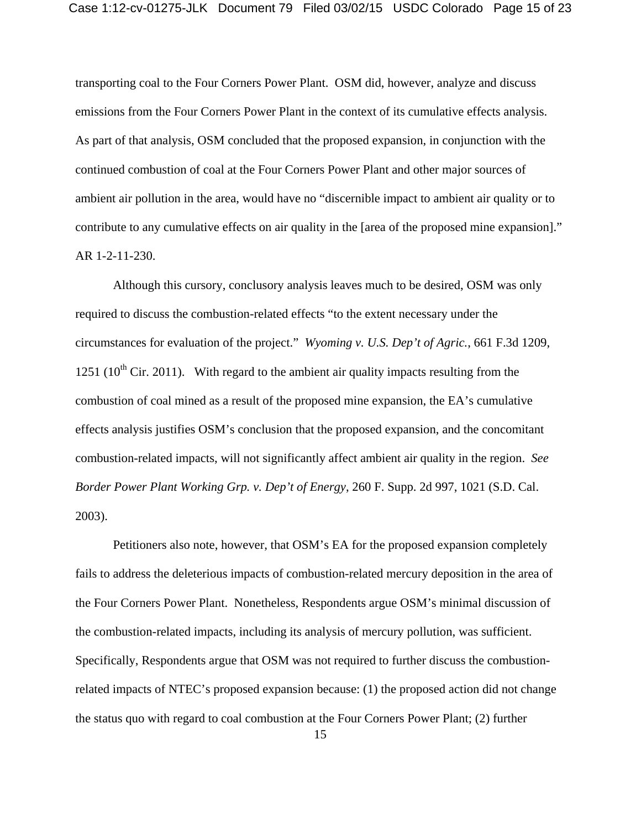transporting coal to the Four Corners Power Plant. OSM did, however, analyze and discuss emissions from the Four Corners Power Plant in the context of its cumulative effects analysis. As part of that analysis, OSM concluded that the proposed expansion, in conjunction with the continued combustion of coal at the Four Corners Power Plant and other major sources of ambient air pollution in the area, would have no "discernible impact to ambient air quality or to contribute to any cumulative effects on air quality in the [area of the proposed mine expansion]." AR 1-2-11-230.

Although this cursory, conclusory analysis leaves much to be desired, OSM was only required to discuss the combustion-related effects "to the extent necessary under the circumstances for evaluation of the project." *Wyoming v. U.S. Dep't of Agric.*, 661 F.3d 1209, 1251 ( $10^{th}$  Cir. 2011). With regard to the ambient air quality impacts resulting from the combustion of coal mined as a result of the proposed mine expansion, the EA's cumulative effects analysis justifies OSM's conclusion that the proposed expansion, and the concomitant combustion-related impacts, will not significantly affect ambient air quality in the region. *See Border Power Plant Working Grp. v. Dep't of Energy*, 260 F. Supp. 2d 997, 1021 (S.D. Cal. 2003).

Petitioners also note, however, that OSM's EA for the proposed expansion completely fails to address the deleterious impacts of combustion-related mercury deposition in the area of the Four Corners Power Plant. Nonetheless, Respondents argue OSM's minimal discussion of the combustion-related impacts, including its analysis of mercury pollution, was sufficient. Specifically, Respondents argue that OSM was not required to further discuss the combustionrelated impacts of NTEC's proposed expansion because: (1) the proposed action did not change the status quo with regard to coal combustion at the Four Corners Power Plant; (2) further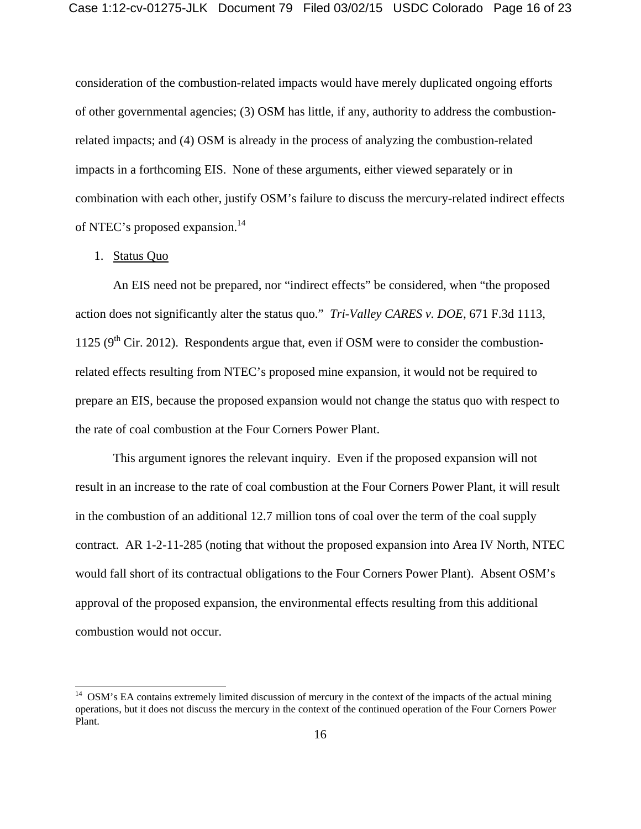consideration of the combustion-related impacts would have merely duplicated ongoing efforts of other governmental agencies; (3) OSM has little, if any, authority to address the combustionrelated impacts; and (4) OSM is already in the process of analyzing the combustion-related impacts in a forthcoming EIS. None of these arguments, either viewed separately or in combination with each other, justify OSM's failure to discuss the mercury-related indirect effects of NTEC's proposed expansion.<sup>14</sup>

#### 1. Status Quo

 $\overline{\phantom{a}}$ 

An EIS need not be prepared, nor "indirect effects" be considered, when "the proposed action does not significantly alter the status quo." *Tri-Valley CARES v. DOE*, 671 F.3d 1113, 1125 ( $9<sup>th</sup>$  Cir. 2012). Respondents argue that, even if OSM were to consider the combustionrelated effects resulting from NTEC's proposed mine expansion, it would not be required to prepare an EIS, because the proposed expansion would not change the status quo with respect to the rate of coal combustion at the Four Corners Power Plant.

This argument ignores the relevant inquiry. Even if the proposed expansion will not result in an increase to the rate of coal combustion at the Four Corners Power Plant, it will result in the combustion of an additional 12.7 million tons of coal over the term of the coal supply contract. AR 1-2-11-285 (noting that without the proposed expansion into Area IV North, NTEC would fall short of its contractual obligations to the Four Corners Power Plant). Absent OSM's approval of the proposed expansion, the environmental effects resulting from this additional combustion would not occur.

 $14$  OSM's EA contains extremely limited discussion of mercury in the context of the impacts of the actual mining operations, but it does not discuss the mercury in the context of the continued operation of the Four Corners Power Plant.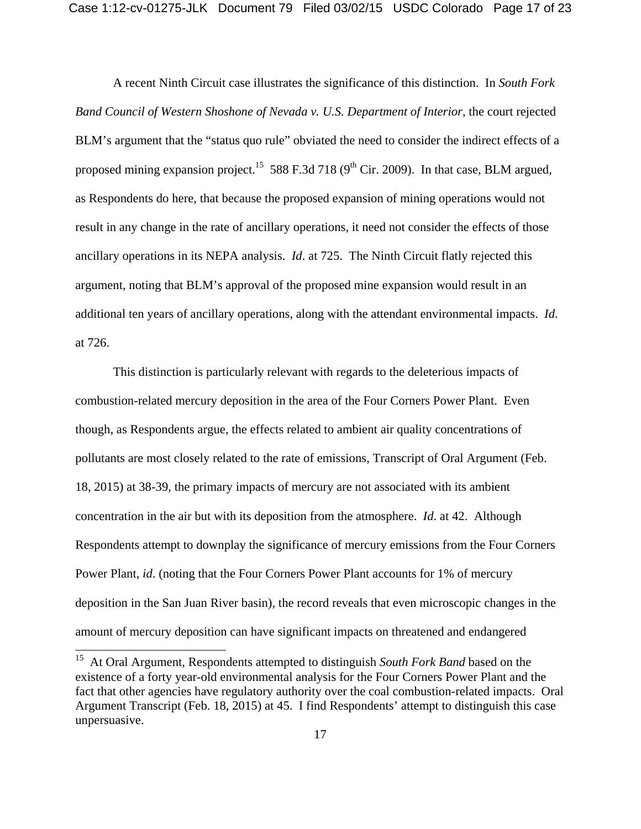A recent Ninth Circuit case illustrates the significance of this distinction. In *South Fork Band Council of Western Shoshone of Nevada v. U.S. Department of Interior*, the court rejected BLM's argument that the "status quo rule" obviated the need to consider the indirect effects of a proposed mining expansion project.<sup>15</sup> 588 F.3d 718 (9<sup>th</sup> Cir. 2009). In that case, BLM argued, as Respondents do here, that because the proposed expansion of mining operations would not result in any change in the rate of ancillary operations, it need not consider the effects of those ancillary operations in its NEPA analysis. *Id*. at 725. The Ninth Circuit flatly rejected this argument, noting that BLM's approval of the proposed mine expansion would result in an additional ten years of ancillary operations, along with the attendant environmental impacts. *Id*. at 726.

This distinction is particularly relevant with regards to the deleterious impacts of combustion-related mercury deposition in the area of the Four Corners Power Plant. Even though, as Respondents argue, the effects related to ambient air quality concentrations of pollutants are most closely related to the rate of emissions, Transcript of Oral Argument (Feb. 18, 2015) at 38-39, the primary impacts of mercury are not associated with its ambient concentration in the air but with its deposition from the atmosphere. *Id*. at 42. Although Respondents attempt to downplay the significance of mercury emissions from the Four Corners Power Plant, *id*. (noting that the Four Corners Power Plant accounts for 1% of mercury deposition in the San Juan River basin), the record reveals that even microscopic changes in the amount of mercury deposition can have significant impacts on threatened and endangered

 $\overline{\phantom{a}}$ 

<sup>15</sup> At Oral Argument, Respondents attempted to distinguish *South Fork Band* based on the existence of a forty year-old environmental analysis for the Four Corners Power Plant and the fact that other agencies have regulatory authority over the coal combustion-related impacts. Oral Argument Transcript (Feb. 18, 2015) at 45. I find Respondents' attempt to distinguish this case unpersuasive.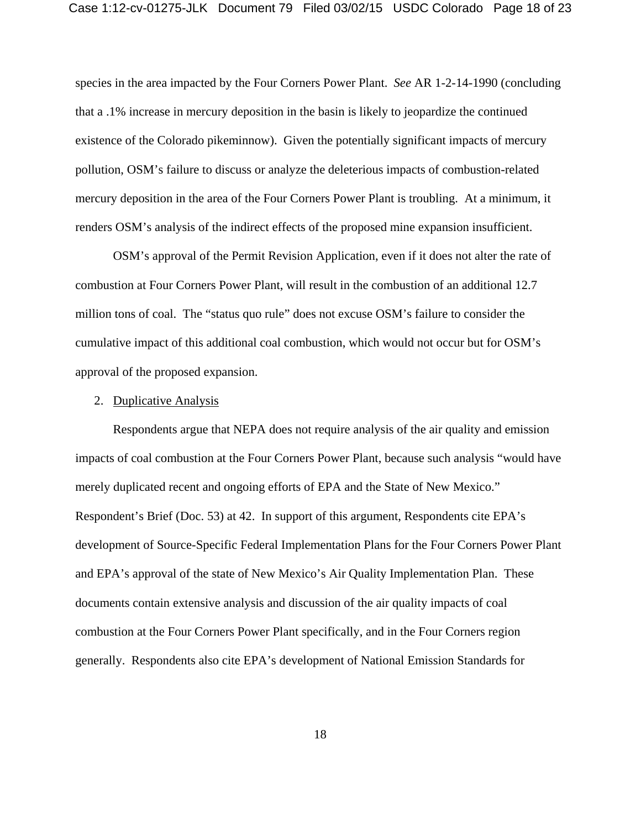species in the area impacted by the Four Corners Power Plant. *See* AR 1-2-14-1990 (concluding that a .1% increase in mercury deposition in the basin is likely to jeopardize the continued existence of the Colorado pikeminnow). Given the potentially significant impacts of mercury pollution, OSM's failure to discuss or analyze the deleterious impacts of combustion-related mercury deposition in the area of the Four Corners Power Plant is troubling. At a minimum, it renders OSM's analysis of the indirect effects of the proposed mine expansion insufficient.

OSM's approval of the Permit Revision Application, even if it does not alter the rate of combustion at Four Corners Power Plant, will result in the combustion of an additional 12.7 million tons of coal. The "status quo rule" does not excuse OSM's failure to consider the cumulative impact of this additional coal combustion, which would not occur but for OSM's approval of the proposed expansion.

#### 2. Duplicative Analysis

Respondents argue that NEPA does not require analysis of the air quality and emission impacts of coal combustion at the Four Corners Power Plant, because such analysis "would have merely duplicated recent and ongoing efforts of EPA and the State of New Mexico." Respondent's Brief (Doc. 53) at 42. In support of this argument, Respondents cite EPA's development of Source-Specific Federal Implementation Plans for the Four Corners Power Plant and EPA's approval of the state of New Mexico's Air Quality Implementation Plan. These documents contain extensive analysis and discussion of the air quality impacts of coal combustion at the Four Corners Power Plant specifically, and in the Four Corners region generally. Respondents also cite EPA's development of National Emission Standards for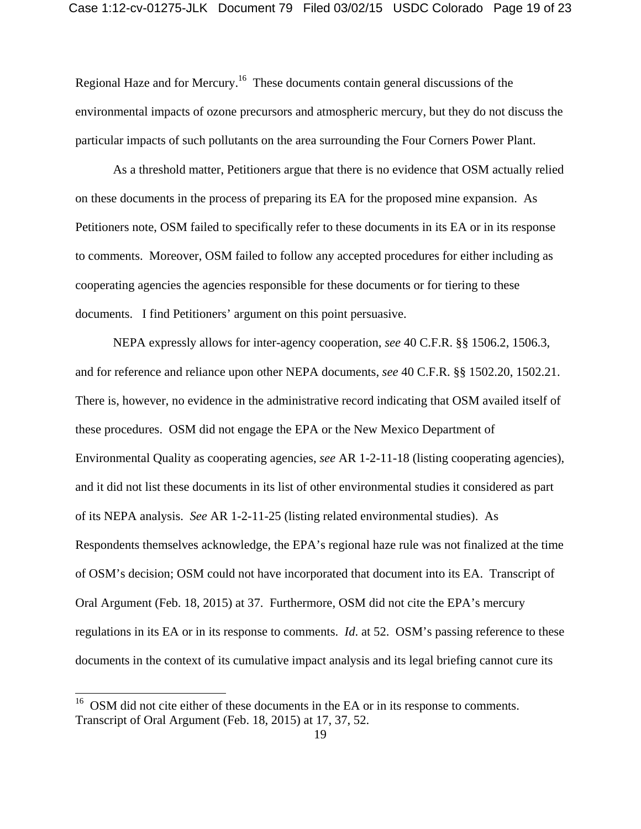Regional Haze and for Mercury.16 These documents contain general discussions of the environmental impacts of ozone precursors and atmospheric mercury, but they do not discuss the particular impacts of such pollutants on the area surrounding the Four Corners Power Plant.

As a threshold matter, Petitioners argue that there is no evidence that OSM actually relied on these documents in the process of preparing its EA for the proposed mine expansion. As Petitioners note, OSM failed to specifically refer to these documents in its EA or in its response to comments. Moreover, OSM failed to follow any accepted procedures for either including as cooperating agencies the agencies responsible for these documents or for tiering to these documents. I find Petitioners' argument on this point persuasive.

 NEPA expressly allows for inter-agency cooperation, *see* 40 C.F.R. §§ 1506.2, 1506.3, and for reference and reliance upon other NEPA documents, *see* 40 C.F.R. §§ 1502.20, 1502.21. There is, however, no evidence in the administrative record indicating that OSM availed itself of these procedures. OSM did not engage the EPA or the New Mexico Department of Environmental Quality as cooperating agencies, *see* AR 1-2-11-18 (listing cooperating agencies), and it did not list these documents in its list of other environmental studies it considered as part of its NEPA analysis. *See* AR 1-2-11-25 (listing related environmental studies). As Respondents themselves acknowledge, the EPA's regional haze rule was not finalized at the time of OSM's decision; OSM could not have incorporated that document into its EA. Transcript of Oral Argument (Feb. 18, 2015) at 37. Furthermore, OSM did not cite the EPA's mercury regulations in its EA or in its response to comments. *Id*. at 52. OSM's passing reference to these documents in the context of its cumulative impact analysis and its legal briefing cannot cure its

 $\overline{\phantom{a}}$ 

 $16$  OSM did not cite either of these documents in the EA or in its response to comments. Transcript of Oral Argument (Feb. 18, 2015) at 17, 37, 52.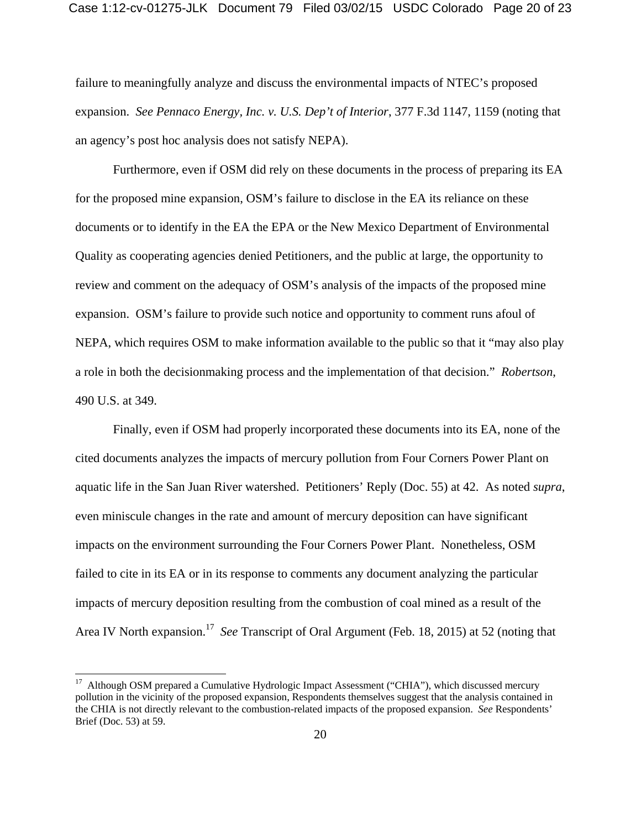failure to meaningfully analyze and discuss the environmental impacts of NTEC's proposed expansion. *See Pennaco Energy, Inc. v. U.S. Dep't of Interior*, 377 F.3d 1147, 1159 (noting that an agency's post hoc analysis does not satisfy NEPA).

Furthermore, even if OSM did rely on these documents in the process of preparing its EA for the proposed mine expansion, OSM's failure to disclose in the EA its reliance on these documents or to identify in the EA the EPA or the New Mexico Department of Environmental Quality as cooperating agencies denied Petitioners, and the public at large, the opportunity to review and comment on the adequacy of OSM's analysis of the impacts of the proposed mine expansion. OSM's failure to provide such notice and opportunity to comment runs afoul of NEPA, which requires OSM to make information available to the public so that it "may also play a role in both the decisionmaking process and the implementation of that decision." *Robertson*, 490 U.S. at 349.

Finally, even if OSM had properly incorporated these documents into its EA, none of the cited documents analyzes the impacts of mercury pollution from Four Corners Power Plant on aquatic life in the San Juan River watershed. Petitioners' Reply (Doc. 55) at 42. As noted *supra*, even miniscule changes in the rate and amount of mercury deposition can have significant impacts on the environment surrounding the Four Corners Power Plant. Nonetheless, OSM failed to cite in its EA or in its response to comments any document analyzing the particular impacts of mercury deposition resulting from the combustion of coal mined as a result of the Area IV North expansion.17 *See* Transcript of Oral Argument (Feb. 18, 2015) at 52 (noting that

<sup>&</sup>lt;sup>17</sup> Although OSM prepared a Cumulative Hydrologic Impact Assessment ("CHIA"), which discussed mercury pollution in the vicinity of the proposed expansion, Respondents themselves suggest that the analysis contained in the CHIA is not directly relevant to the combustion-related impacts of the proposed expansion. *See* Respondents' Brief (Doc. 53) at 59.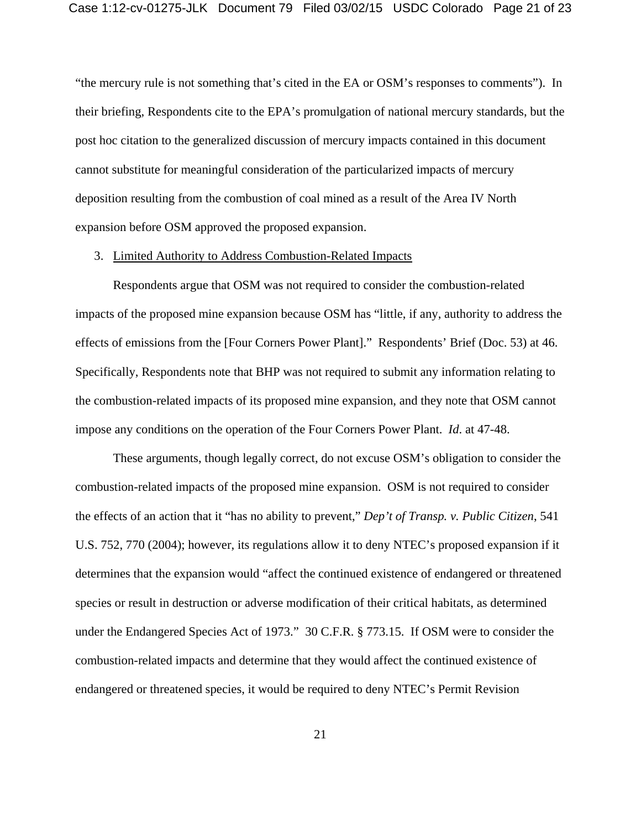"the mercury rule is not something that's cited in the EA or OSM's responses to comments"). In their briefing, Respondents cite to the EPA's promulgation of national mercury standards, but the post hoc citation to the generalized discussion of mercury impacts contained in this document cannot substitute for meaningful consideration of the particularized impacts of mercury deposition resulting from the combustion of coal mined as a result of the Area IV North expansion before OSM approved the proposed expansion.

#### 3. Limited Authority to Address Combustion-Related Impacts

 Respondents argue that OSM was not required to consider the combustion-related impacts of the proposed mine expansion because OSM has "little, if any, authority to address the effects of emissions from the [Four Corners Power Plant]." Respondents' Brief (Doc. 53) at 46. Specifically, Respondents note that BHP was not required to submit any information relating to the combustion-related impacts of its proposed mine expansion, and they note that OSM cannot impose any conditions on the operation of the Four Corners Power Plant. *Id*. at 47-48.

 These arguments, though legally correct, do not excuse OSM's obligation to consider the combustion-related impacts of the proposed mine expansion. OSM is not required to consider the effects of an action that it "has no ability to prevent," *Dep't of Transp. v. Public Citizen*, 541 U.S. 752, 770 (2004); however, its regulations allow it to deny NTEC's proposed expansion if it determines that the expansion would "affect the continued existence of endangered or threatened species or result in destruction or adverse modification of their critical habitats, as determined under the Endangered Species Act of 1973." 30 C.F.R. § 773.15. If OSM were to consider the combustion-related impacts and determine that they would affect the continued existence of endangered or threatened species, it would be required to deny NTEC's Permit Revision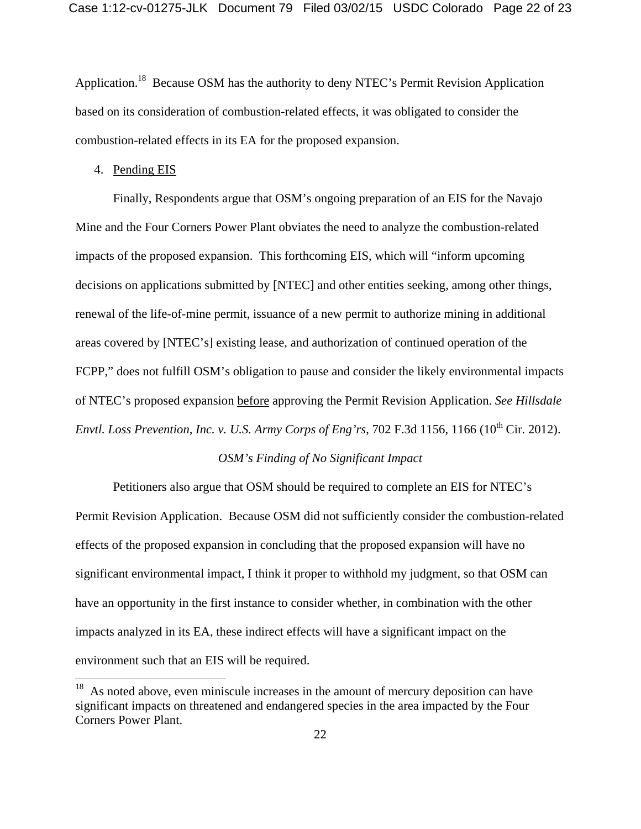Application.18 Because OSM has the authority to deny NTEC's Permit Revision Application based on its consideration of combustion-related effects, it was obligated to consider the combustion-related effects in its EA for the proposed expansion.

#### 4. Pending EIS

 $\overline{\phantom{a}}$ 

Finally, Respondents argue that OSM's ongoing preparation of an EIS for the Navajo Mine and the Four Corners Power Plant obviates the need to analyze the combustion-related impacts of the proposed expansion. This forthcoming EIS, which will "inform upcoming decisions on applications submitted by [NTEC] and other entities seeking, among other things, renewal of the life-of-mine permit, issuance of a new permit to authorize mining in additional areas covered by [NTEC's] existing lease, and authorization of continued operation of the FCPP," does not fulfill OSM's obligation to pause and consider the likely environmental impacts of NTEC's proposed expansion before approving the Permit Revision Application. *See Hillsdale Envtl. Loss Prevention, Inc. v. U.S. Army Corps of Eng'rs, 702 F.3d 1156, 1166 (10<sup>th</sup> Cir. 2012).* 

## *OSM's Finding of No Significant Impact*

Petitioners also argue that OSM should be required to complete an EIS for NTEC's Permit Revision Application. Because OSM did not sufficiently consider the combustion-related effects of the proposed expansion in concluding that the proposed expansion will have no significant environmental impact, I think it proper to withhold my judgment, so that OSM can have an opportunity in the first instance to consider whether, in combination with the other impacts analyzed in its EA, these indirect effects will have a significant impact on the environment such that an EIS will be required.

 $18$  As noted above, even miniscule increases in the amount of mercury deposition can have significant impacts on threatened and endangered species in the area impacted by the Four Corners Power Plant.